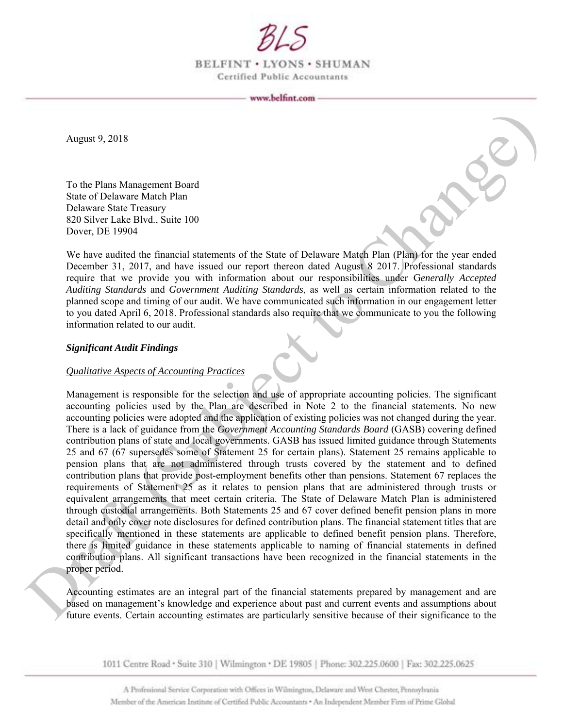

BELFINT . LYONS . SHUMAN Certified Public Accountants

August 9, 2018

To the Plans Management Board State of Delaware Match Plan Delaware State Treasury 820 Silver Lake Blvd., Suite 100 Dover, DE 19904

We have audited the financial statements of the State of Delaware Match Plan (Plan) for the year ended December 31, 2017, and have issued our report thereon dated August 8 2017. Professional standards require that we provide you with information about our responsibilities under G*enerally Accepted Auditing Standards* and *Government Auditing Standards*, as well as certain information related to the planned scope and timing of our audit. We have communicated such information in our engagement letter to you dated April 6, 2018. Professional standards also require that we communicate to you the following information related to our audit.

## *Significant Audit Findings*

## *Qualitative Aspects of Accounting Practices*

Management is responsible for the selection and use of appropriate accounting policies. The significant accounting policies used by the Plan are described in Note 2 to the financial statements. No new accounting policies were adopted and the application of existing policies was not changed during the year. There is a lack of guidance from the *Government Accounting Standards Board* (GASB) covering defined contribution plans of state and local governments. GASB has issued limited guidance through Statements 25 and 67 (67 supersedes some of Statement 25 for certain plans). Statement 25 remains applicable to pension plans that are not administered through trusts covered by the statement and to defined contribution plans that provide post-employment benefits other than pensions. Statement 67 replaces the requirements of Statement 25 as it relates to pension plans that are administered through trusts or equivalent arrangements that meet certain criteria. The State of Delaware Match Plan is administered through custodial arrangements. Both Statements 25 and 67 cover defined benefit pension plans in more detail and only cover note disclosures for defined contribution plans. The financial statement titles that are specifically mentioned in these statements are applicable to defined benefit pension plans. Therefore, there is limited guidance in these statements applicable to naming of financial statements in defined contribution plans. All significant transactions have been recognized in the financial statements in the proper period. August 9, 2018<br>
Note of the Plane Management Board<br>
Sike of Debaware State Demokration and<br>
Sike of Debaware State Demokration and the Debaut Content of the State of Debaute Change<br>
Note that Debaware State Debay is the U

Accounting estimates are an integral part of the financial statements prepared by management and are based on management's knowledge and experience about past and current events and assumptions about future events. Certain accounting estimates are particularly sensitive because of their significance to the

1011 Centre Road · Suite 310 | Wilmington · DE 19805 | Phone: 302.225.0600 | Fax: 302.225.0625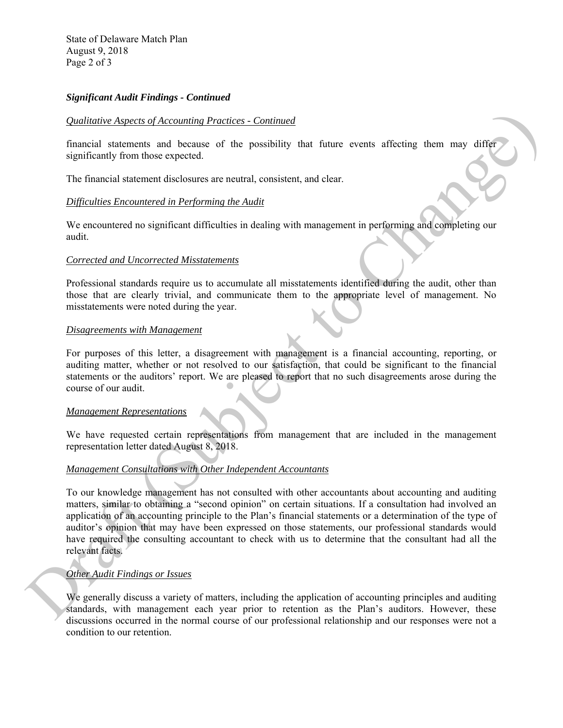State of Delaware Match Plan August 9, 2018 Page 2 of 3

# *Significant Audit Findings - Continued*

## *Qualitative Aspects of Accounting Practices - Continued*

financial statements and because of the possibility that future events affecting them may differ significantly from those expected.

The financial statement disclosures are neutral, consistent, and clear.

## *Difficulties Encountered in Performing the Audit*

We encountered no significant difficulties in dealing with management in performing and completing our audit.

#### *Corrected and Uncorrected Misstatements*

Professional standards require us to accumulate all misstatements identified during the audit, other than those that are clearly trivial, and communicate them to the appropriate level of management. No misstatements were noted during the year.

#### *Disagreements with Management*

For purposes of this letter, a disagreement with management is a financial accounting, reporting, or auditing matter, whether or not resolved to our satisfaction, that could be significant to the financial statements or the auditors' report. We are pleased to report that no such disagreements arose during the course of our audit.

## *Management Representations*

We have requested certain representations from management that are included in the management representation letter dated August 8, 2018.

## *Management Consultations with Other Independent Accountants*

To our knowledge management has not consulted with other accountants about accounting and auditing matters, similar to obtaining a "second opinion" on certain situations. If a consultation had involved an application of an accounting principle to the Plan's financial statements or a determination of the type of auditor's opinion that may have been expressed on those statements, our professional standards would have required the consulting accountant to check with us to determine that the consultant had all the relevant facts. **Changement value of Accorations** Practices. Continued<br>
functional statement is all because of the possibility that future events affecting them may different<br>
significantly too those expected<br>
The financial statement dis

## *Other Audit Findings or Issues*

We generally discuss a variety of matters, including the application of accounting principles and auditing standards, with management each year prior to retention as the Plan's auditors. However, these discussions occurred in the normal course of our professional relationship and our responses were not a condition to our retention.